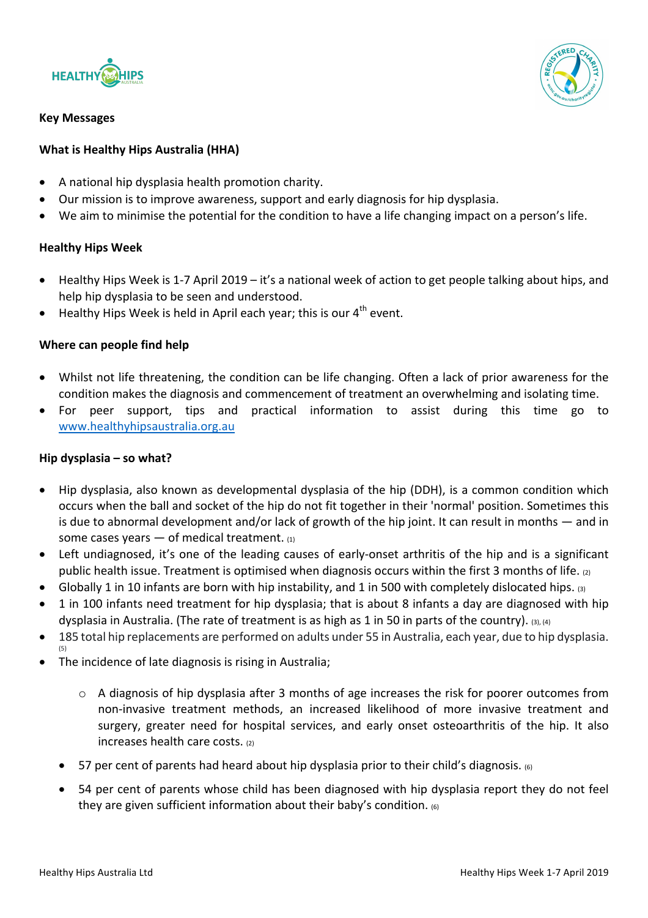

#### **Key Messages**



# **What is Healthy Hips Australia (HHA)**

- A national hip dysplasia health promotion charity.
- Our mission is to improve awareness, support and early diagnosis for hip dysplasia.
- We aim to minimise the potential for the condition to have a life changing impact on a person's life.

# **Healthy Hips Week**

- Healthy Hips Week is 1-7 April 2019 it's a national week of action to get people talking about hips, and help hip dysplasia to be seen and understood.
- Healthy Hips Week is held in April each year; this is our  $4<sup>th</sup>$  event.

# **Where can people find help**

- Whilst not life threatening, the condition can be life changing. Often a lack of prior awareness for the condition makes the diagnosis and commencement of treatment an overwhelming and isolating time.
- For peer support, tips and practical information to assist during this time go to www.healthyhipsaustralia.org.au

### **Hip dysplasia – so what?**

- Hip dysplasia, also known as developmental dysplasia of the hip (DDH), is a common condition which occurs when the ball and socket of the hip do not fit together in their 'normal' position. Sometimes this is due to abnormal development and/or lack of growth of the hip joint. It can result in months  $-$  and in some cases years  $-$  of medical treatment.  $(1)$
- Left undiagnosed, it's one of the leading causes of early-onset arthritis of the hip and is a significant public health issue. Treatment is optimised when diagnosis occurs within the first 3 months of life. (2)
- Globally 1 in 10 infants are born with hip instability, and 1 in 500 with completely dislocated hips. (3)
- 1 in 100 infants need treatment for hip dysplasia; that is about 8 infants a day are diagnosed with hip dysplasia in Australia. (The rate of treatment is as high as 1 in 50 in parts of the country). (3), (4)
- 185 total hip replacements are performed on adults under 55 in Australia, each year, due to hip dysplasia.
- The incidence of late diagnosis is rising in Australia;
	- $\circ$  A diagnosis of hip dysplasia after 3 months of age increases the risk for poorer outcomes from non-invasive treatment methods, an increased likelihood of more invasive treatment and surgery, greater need for hospital services, and early onset osteoarthritis of the hip. It also increases health care costs.  $(2)$
	- 57 per cent of parents had heard about hip dysplasia prior to their child's diagnosis.  $\overline{6}$
	- 54 per cent of parents whose child has been diagnosed with hip dysplasia report they do not feel they are given sufficient information about their baby's condition. (6)

(5)